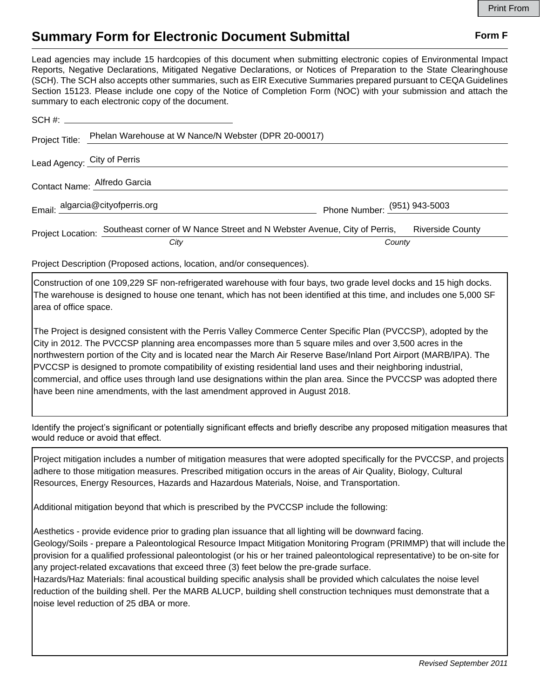## **Summary Form for Electronic Document Submittal Form F Form F**

Lead agencies may include 15 hardcopies of this document when submitting electronic copies of Environmental Impact Reports, Negative Declarations, Mitigated Negative Declarations, or Notices of Preparation to the State Clearinghouse (SCH). The SCH also accepts other summaries, such as EIR Executive Summaries prepared pursuant to CEQA Guidelines Section 15123. Please include one copy of the Notice of Completion Form (NOC) with your submission and attach the summary to each electronic copy of the document.

|                             | $SCH \#:$                                                                                  |                              |                         |
|-----------------------------|--------------------------------------------------------------------------------------------|------------------------------|-------------------------|
| Project Title:              | Phelan Warehouse at W Nance/N Webster (DPR 20-00017)                                       |                              |                         |
| Lead Agency: City of Perris |                                                                                            |                              |                         |
|                             | Contact Name: Alfredo Garcia                                                               |                              |                         |
|                             | Email: algarcia@cityofperris.org                                                           | Phone Number: (951) 943-5003 |                         |
|                             | Project Location: Southeast corner of W Nance Street and N Webster Avenue, City of Perris, |                              | <b>Riverside County</b> |
|                             | City                                                                                       | County                       |                         |

Project Description (Proposed actions, location, and/or consequences).

Construction of one 109,229 SF non-refrigerated warehouse with four bays, two grade level docks and 15 high docks. The warehouse is designed to house one tenant, which has not been identified at this time, and includes one 5,000 SF area of office space.

The Project is designed consistent with the Perris Valley Commerce Center Specific Plan (PVCCSP), adopted by the City in 2012. The PVCCSP planning area encompasses more than 5 square miles and over 3,500 acres in the northwestern portion of the City and is located near the March Air Reserve Base/Inland Port Airport (MARB/IPA). The PVCCSP is designed to promote compatibility of existing residential land uses and their neighboring industrial, commercial, and office uses through land use designations within the plan area. Since the PVCCSP was adopted there have been nine amendments, with the last amendment approved in August 2018.

Identify the project's significant or potentially significant effects and briefly describe any proposed mitigation measures that would reduce or avoid that effect.

Project mitigation includes a number of mitigation measures that were adopted specifically for the PVCCSP, and projects adhere to those mitigation measures. Prescribed mitigation occurs in the areas of Air Quality, Biology, Cultural Resources, Energy Resources, Hazards and Hazardous Materials, Noise, and Transportation.

Additional mitigation beyond that which is prescribed by the PVCCSP include the following:

Aesthetics - provide evidence prior to grading plan issuance that all lighting will be downward facing.

Geology/Soils - prepare a Paleontological Resource Impact Mitigation Monitoring Program (PRIMMP) that will include the provision for a qualified professional paleontologist (or his or her trained paleontological representative) to be on-site for any project-related excavations that exceed three (3) feet below the pre-grade surface.

Hazards/Haz Materials: final acoustical building specific analysis shall be provided which calculates the noise level reduction of the building shell. Per the MARB ALUCP, building shell construction techniques must demonstrate that a noise level reduction of 25 dBA or more.